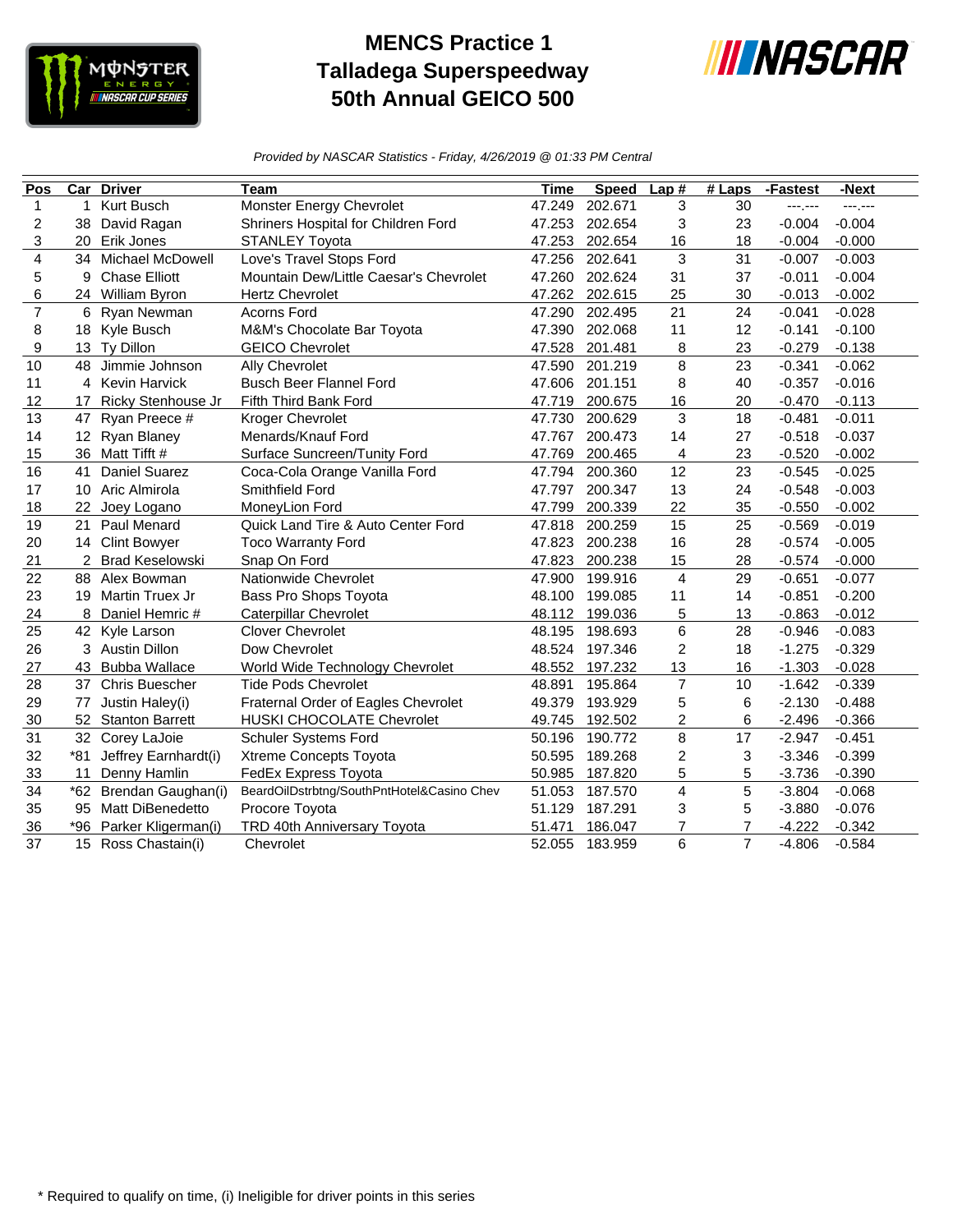

## **MENCS Practice 1 Talladega Superspeedway 50th Annual GEICO 500**



*Provided by NASCAR Statistics - Friday, 4/26/2019 @ 01:33 PM Central*

| Pos            | $\overline{\text{Car}}$ | <b>Driver</b>          | Team                                       | <b>Time</b> | <b>Speed</b> | Lap#                    | $#$ Laps       | -Fastest | -Next    |
|----------------|-------------------------|------------------------|--------------------------------------------|-------------|--------------|-------------------------|----------------|----------|----------|
| $\mathbf{1}$   | 1                       | Kurt Busch             | Monster Energy Chevrolet                   | 47.249      | 202.671      | 3                       | 30             | ---.---  | ---.---  |
| 2              | 38                      | David Ragan            | Shriners Hospital for Children Ford        | 47.253      | 202.654      | 3                       | 23             | $-0.004$ | $-0.004$ |
| 3              | 20                      | Erik Jones             | <b>STANLEY Toyota</b>                      | 47.253      | 202.654      | 16                      | 18             | $-0.004$ | $-0.000$ |
| 4              |                         | 34 Michael McDowell    | Love's Travel Stops Ford                   | 47.256      | 202.641      | 3                       | 31             | $-0.007$ | $-0.003$ |
| 5              | 9                       | <b>Chase Elliott</b>   | Mountain Dew/Little Caesar's Chevrolet     | 47.260      | 202.624      | 31                      | 37             | $-0.011$ | $-0.004$ |
| 6              | 24                      | William Byron          | <b>Hertz Chevrolet</b>                     | 47.262      | 202.615      | 25                      | 30             | $-0.013$ | $-0.002$ |
| $\overline{7}$ | 6                       | Ryan Newman            | <b>Acorns Ford</b>                         | 47.290      | 202.495      | 21                      | 24             | $-0.041$ | $-0.028$ |
| 8              |                         | 18 Kyle Busch          | M&M's Chocolate Bar Toyota                 | 47.390      | 202.068      | 11                      | 12             | $-0.141$ | $-0.100$ |
| 9              | 13                      | Ty Dillon              | <b>GEICO Chevrolet</b>                     | 47.528      | 201.481      | 8                       | 23             | $-0.279$ | $-0.138$ |
| 10             | 48                      | Jimmie Johnson         | Ally Chevrolet                             | 47.590      | 201.219      | 8                       | 23             | $-0.341$ | $-0.062$ |
| 11             |                         | 4 Kevin Harvick        | <b>Busch Beer Flannel Ford</b>             | 47.606      | 201.151      | 8                       | 40             | $-0.357$ | $-0.016$ |
| 12             | 17                      | Ricky Stenhouse Jr     | Fifth Third Bank Ford                      | 47.719      | 200.675      | 16                      | 20             | $-0.470$ | $-0.113$ |
| 13             | 47                      | Ryan Preece #          | Kroger Chevrolet                           | 47.730      | 200.629      | 3                       | 18             | $-0.481$ | $-0.011$ |
| 14             | 12 <sup>2</sup>         | <b>Ryan Blaney</b>     | Menards/Knauf Ford                         | 47.767      | 200.473      | 14                      | 27             | $-0.518$ | $-0.037$ |
| 15             | 36                      | Matt Tifft #           | Surface Suncreen/Tunity Ford               | 47.769      | 200.465      | 4                       | 23             | $-0.520$ | $-0.002$ |
| 16             | 41                      | Daniel Suarez          | Coca-Cola Orange Vanilla Ford              | 47.794      | 200.360      | 12                      | 23             | $-0.545$ | $-0.025$ |
| 17             | 10                      | Aric Almirola          | Smithfield Ford                            | 47.797      | 200.347      | 13                      | 24             | $-0.548$ | $-0.003$ |
| 18             | 22                      | Joey Logano            | MoneyLion Ford                             | 47.799      | 200.339      | 22                      | 35             | $-0.550$ | $-0.002$ |
| 19             | 21                      | Paul Menard            | Quick Land Tire & Auto Center Ford         | 47.818      | 200.259      | 15                      | 25             | $-0.569$ | $-0.019$ |
| 20             |                         | 14 Clint Bowyer        | <b>Toco Warranty Ford</b>                  | 47.823      | 200.238      | 16                      | 28             | $-0.574$ | $-0.005$ |
| 21             |                         | <b>Brad Keselowski</b> | Snap On Ford                               | 47.823      | 200.238      | 15                      | 28             | $-0.574$ | $-0.000$ |
| 22             | 88                      | Alex Bowman            | Nationwide Chevrolet                       | 47.900      | 199.916      | 4                       | 29             | $-0.651$ | $-0.077$ |
| 23             |                         | 19 Martin Truex Jr     | Bass Pro Shops Toyota                      | 48.100      | 199.085      | 11                      | 14             | $-0.851$ | $-0.200$ |
| 24             | 8                       | Daniel Hemric #        | <b>Caterpillar Chevrolet</b>               | 48.112      | 199.036      | 5                       | 13             | $-0.863$ | $-0.012$ |
| 25             |                         | 42 Kyle Larson         | <b>Clover Chevrolet</b>                    | 48.195      | 198.693      | $\,6$                   | 28             | $-0.946$ | $-0.083$ |
| 26             | 3                       | <b>Austin Dillon</b>   | Dow Chevrolet                              | 48.524      | 197.346      | $\overline{c}$          | 18             | $-1.275$ | $-0.329$ |
| 27             | 43                      | <b>Bubba Wallace</b>   | World Wide Technology Chevrolet            | 48.552      | 197.232      | 13                      | 16             | $-1.303$ | $-0.028$ |
| 28             | 37                      | <b>Chris Buescher</b>  | <b>Tide Pods Chevrolet</b>                 | 48.891      | 195.864      | $\overline{7}$          | 10             | $-1.642$ | $-0.339$ |
| 29             | 77                      | Justin Haley(i)        | Fraternal Order of Eagles Chevrolet        | 49.379      | 193.929      | 5                       | 6              | $-2.130$ | $-0.488$ |
| 30             | 52                      | <b>Stanton Barrett</b> | HUSKI CHOCOLATE Chevrolet                  | 49.745      | 192.502      | $\overline{\mathbf{c}}$ | 6              | $-2.496$ | $-0.366$ |
| 31             |                         | 32 Corey LaJoie        | Schuler Systems Ford                       | 50.196      | 190.772      | 8                       | 17             | $-2.947$ | $-0.451$ |
| 32             | $*81$                   | Jeffrey Earnhardt(i)   | Xtreme Concepts Toyota                     | 50.595      | 189.268      | $\overline{c}$          | 3              | $-3.346$ | $-0.399$ |
| 33             | 11                      | Denny Hamlin           | FedEx Express Toyota                       | 50.985      | 187.820      | 5                       | 5              | $-3.736$ | $-0.390$ |
| 34             | $*62$                   | Brendan Gaughan(i)     | BeardOilDstrbtng/SouthPntHotel&Casino Chev | 51.053      | 187.570      | $\overline{4}$          | 5              | $-3.804$ | $-0.068$ |
| 35             | 95                      | Matt DiBenedetto       | Procore Toyota                             | 51.129      | 187.291      | 3                       | 5              | $-3.880$ | $-0.076$ |
| 36             | *96                     | Parker Kligerman(i)    | TRD 40th Anniversary Toyota                | 51.471      | 186.047      | $\overline{7}$          | 7              | $-4.222$ | $-0.342$ |
| 37             |                         | 15 Ross Chastain(i)    | Chevrolet                                  | 52.055      | 183.959      | 6                       | $\overline{7}$ | $-4.806$ | $-0.584$ |